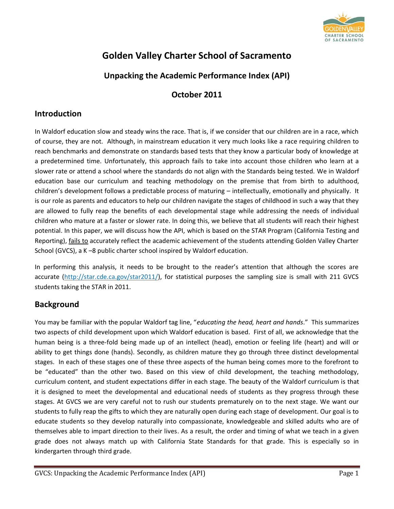

# **Golden Valley Charter School of Sacramento**

## **Unpacking the Academic Performance Index (API)**

### **October 2011**

### **Introduction**

In Waldorf education slow and steady wins the race. That is, if we consider that our children are in a race, which of course, they are not. Although, in mainstream education it very much looks like a race requiring children to reach benchmarks and demonstrate on standards based tests that they know a particular body of knowledge at a predetermined time. Unfortunately, this approach fails to take into account those children who learn at a slower rate or attend a school where the standards do not align with the Standards being tested. We in Waldorf education base our curriculum and teaching methodology on the premise that from birth to adulthood, children's development follows a predictable process of maturing – intellectually, emotionally and physically. It is our role as parents and educators to help our children navigate the stages of childhood in such a way that they are allowed to fully reap the benefits of each developmental stage while addressing the needs of individual children who mature at a faster or slower rate. In doing this, we believe that all students will reach their highest potential. In this paper, we will discuss how the API, which is based on the STAR Program (California Testing and Reporting), fails to accurately reflect the academic achievement of the students attending Golden Valley Charter School (GVCS), a K –8 public charter school inspired by Waldorf education.

In performing this analysis, it needs to be brought to the reader's attention that although the scores are accurate (http://star.cde.ca.gov/star2011/), for statistical purposes the sampling size is small with 211 GVCS students taking the STAR in 2011.

### **Background**

You may be familiar with the popular Waldorf tag line, "*educating the head, heart and hands*." This summarizes two aspects of child development upon which Waldorf education is based. First of all, we acknowledge that the human being is a three-fold being made up of an intellect (head), emotion or feeling life (heart) and will or ability to get things done (hands). Secondly, as children mature they go through three distinct developmental stages. In each of these stages one of these three aspects of the human being comes more to the forefront to be "educated" than the other two. Based on this view of child development, the teaching methodology, curriculum content, and student expectations differ in each stage. The beauty of the Waldorf curriculum is that it is designed to meet the developmental and educational needs of students as they progress through these stages. At GVCS we are very careful not to rush our students prematurely on to the next stage. We want our students to fully reap the gifts to which they are naturally open during each stage of development. Our goal is to educate students so they develop naturally into compassionate, knowledgeable and skilled adults who are of themselves able to impart direction to their lives. As a result, the order and timing of what we teach in a given grade does not always match up with California State Standards for that grade. This is especially so in kindergarten through third grade.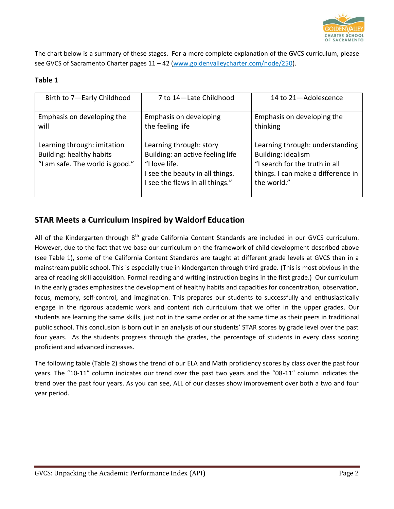

The chart below is a summary of these stages. For a more complete explanation of the GVCS curriculum, please see GVCS of Sacramento Charter pages 11 - 42 (www.goldenvalleycharter.com/node/250).

#### **Table 1**

| Birth to 7-Early Childhood                                                                 | 7 to 14-Late Childhood                                                                                                                             | 14 to 21-Adolescence                                                                                                                         |
|--------------------------------------------------------------------------------------------|----------------------------------------------------------------------------------------------------------------------------------------------------|----------------------------------------------------------------------------------------------------------------------------------------------|
| Emphasis on developing the<br>will                                                         | Emphasis on developing<br>the feeling life                                                                                                         | Emphasis on developing the<br>thinking                                                                                                       |
| Learning through: imitation<br>Building: healthy habits<br>"I am safe. The world is good." | Learning through: story<br>Building: an active feeling life<br>"I love life.<br>I see the beauty in all things.<br>I see the flaws in all things." | Learning through: understanding<br>Building: idealism<br>"I search for the truth in all<br>things. I can make a difference in<br>the world." |

### **STAR Meets a Curriculum Inspired by Waldorf Education**

All of the Kindergarten through  $8<sup>th</sup>$  grade California Content Standards are included in our GVCS curriculum. However, due to the fact that we base our curriculum on the framework of child development described above (see Table 1), some of the California Content Standards are taught at different grade levels at GVCS than in a mainstream public school. This is especially true in kindergarten through third grade. (This is most obvious in the area of reading skill acquisition. Formal reading and writing instruction begins in the first grade.) Our curriculum in the early grades emphasizes the development of healthy habits and capacities for concentration, observation, focus, memory, self-control, and imagination. This prepares our students to successfully and enthusiastically engage in the rigorous academic work and content rich curriculum that we offer in the upper grades. Our students are learning the same skills, just not in the same order or at the same time as their peers in traditional public school. This conclusion is born out in an analysis of our students' STAR scores by grade level over the past four years. As the students progress through the grades, the percentage of students in every class scoring proficient and advanced increases.

The following table (Table 2) shows the trend of our ELA and Math proficiency scores by class over the past four years. The "10-11" column indicates our trend over the past two years and the "08-11" column indicates the trend over the past four years. As you can see, ALL of our classes show improvement over both a two and four year period.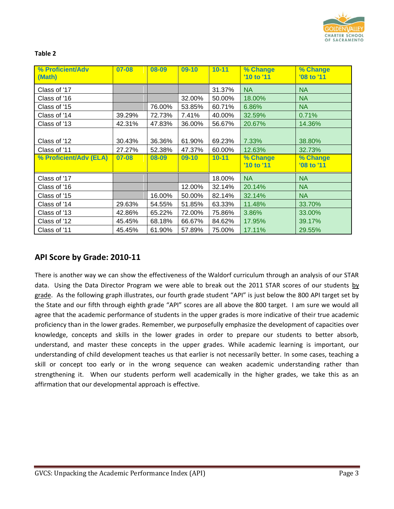

| % Proficient/Adv<br>(Math)                             | $07 - 08$                 | 08-09                     | $09 - 10$                     | $10 - 11$                     | % Change<br>'10 to '11                    | % Change<br>'08 to '11                     |
|--------------------------------------------------------|---------------------------|---------------------------|-------------------------------|-------------------------------|-------------------------------------------|--------------------------------------------|
| Class of '17                                           |                           |                           |                               | 31.37%                        | <b>NA</b>                                 | <b>NA</b>                                  |
| Class of '16                                           |                           |                           | 32.00%                        | 50.00%                        | 18.00%                                    | <b>NA</b>                                  |
| Class of '15                                           |                           | 76.00%                    | 53.85%                        | 60.71%                        | 6.86%                                     | <b>NA</b>                                  |
| Class of '14                                           | 39.29%                    | 72.73%                    | 7.41%                         | 40.00%                        | 32.59%                                    | 0.71%                                      |
| Class of '13                                           | 42.31%                    | 47.83%                    | 36.00%                        | 56.67%                        | 20.67%                                    | 14.36%                                     |
| Class of '12<br>Class of '11<br>% Proficient/Adv (ELA) | 30.43%<br>27.27%<br>07-08 | 36.36%<br>52.38%<br>08-09 | 61.90%<br>47.37%<br>$09 - 10$ | 69.23%<br>60.00%<br>$10 - 11$ | 7.33%<br>12.63%<br>% Change<br>'10 to '11 | 38.80%<br>32.73%<br>% Change<br>'08 to '11 |
| Class of '17                                           |                           |                           |                               | 18.00%                        | <b>NA</b>                                 | <b>NA</b>                                  |
| Class of '16                                           |                           |                           | 12.00%                        | 32.14%                        | 20.14%                                    | <b>NA</b>                                  |
| Class of '15                                           |                           | 16.00%                    | 50.00%                        | 82.14%                        | 32.14%                                    | <b>NA</b>                                  |
| Class of '14                                           | 29.63%                    | 54.55%                    | 51.85%                        | 63.33%                        | 11.48%                                    | 33.70%                                     |
| Class of '13                                           | 42.86%                    | 65.22%                    | 72.00%                        | 75.86%                        | 3.86%                                     | 33.00%                                     |
| Class of '12                                           | 45.45%                    | 68.18%                    | 66.67%                        | 84.62%                        | 17.95%                                    | 39.17%                                     |
| Class of '11                                           | 45.45%                    | 61.90%                    | 57.89%                        | 75.00%                        | 17.11%                                    | 29.55%                                     |

#### **Table 2**

### **API Score by Grade: 2010-11**

There is another way we can show the effectiveness of the Waldorf curriculum through an analysis of our STAR data. Using the Data Director Program we were able to break out the 2011 STAR scores of our students by grade. As the following graph illustrates, our fourth grade student "API" is just below the 800 API target set by the State and our fifth through eighth grade "API" scores are all above the 800 target. I am sure we would all agree that the academic performance of students in the upper grades is more indicative of their true academic proficiency than in the lower grades. Remember, we purposefully emphasize the development of capacities over knowledge, concepts and skills in the lower grades in order to prepare our students to better absorb, understand, and master these concepts in the upper grades. While academic learning is important, our understanding of child development teaches us that earlier is not necessarily better. In some cases, teaching a skill or concept too early or in the wrong sequence can weaken academic understanding rather than strengthening it. When our students perform well academically in the higher grades, we take this as an affirmation that our developmental approach is effective.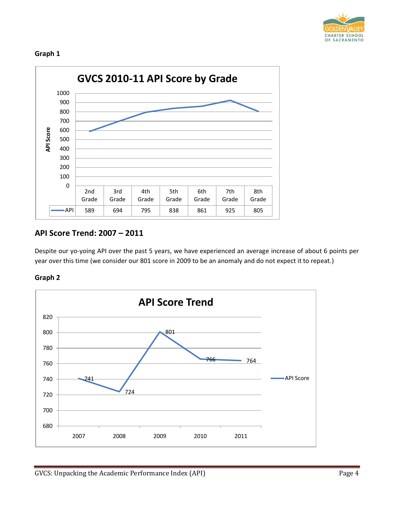

#### **Graph 1**



### **API Score Trend: 2007 – 2011**

Despite our yo-yoing API over the past 5 years, we have experienced an average increase of about 6 points per year over this time (we consider our 801 score in 2009 to be an anomaly and do not expect it to repeat.)

#### **Graph 2**

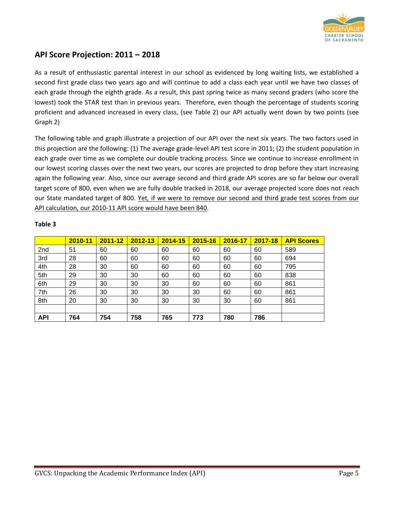

### **API Score Projection: 2011 – 2018**

As a result of enthusiastic parental interest in our school as evidenced by long waiting lists, we established a second first grade class two years ago and will continue to add a class each year until we have two classes of each grade through the eighth grade. As a result, this past spring twice as many second graders (who score the lowest) took the STAR test than in previous years. Therefore, even though the percentage of students scoring proficient and advanced increased in every class, (see Table 2) our API actually went down by two points (see Graph 2)

The following table and graph illustrate a projection of our API over the next six years. The two factors used in this projection are the following: (1) The average grade-level API test score in 2011; (2) the student population in each grade over time as we complete our double tracking process. Since we continue to increase enrollment in our lowest scoring classes over the next two years, our scores are projected to drop before they start increasing again the following year. Also, since our average second and third grade API scores are so far below our overall target score of 800, even when we are fully double tracked in 2018, our average projected score does not reach our State mandated target of 800. Yet, if we were to remove our second and third grade test scores from our API calculation, our 2010-11 API score would have been 840.

|                 | 2010-11 | $2011 - 12$ | $2012 - 13$ | 2014-15 | 2015-16 | 2016-17 | 2017-18 | <b>API Scores</b> |
|-----------------|---------|-------------|-------------|---------|---------|---------|---------|-------------------|
| 2 <sub>nd</sub> | 51      | 60          | 60          | 60      | 60      | 60      | 60      | 589               |
| 3rd             | 28      | 60          | 60          | 60      | 60      | 60      | 60      | 694               |
| 4th             | 28      | 30          | 60          | 60      | 60      | 60      | 60      | 795               |
| 5th             | 29      | 30          | 30          | 60      | 60      | 60      | 60      | 838               |
| 6th             | 29      | 30          | 30          | 30      | 60      | 60      | 60      | 861               |
| 7th             | 26      | 30          | 30          | 30      | 30      | 60      | 60      | 861               |
| 8th             | 20      | 30          | 30          | 30      | 30      | 30      | 60      | 861               |
|                 |         |             |             |         |         |         |         |                   |
| <b>API</b>      | 764     | 754         | 758         | 765     | 773     | 780     | 786     |                   |

#### **Table 3**